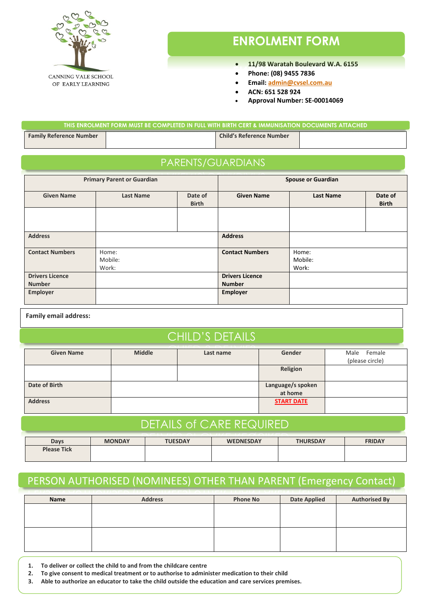

# **ENROLMENT FORM**

- **11/98 Waratah Boulevard W.A. 6155**
- **Phone: (08) 9455 7836**
- **Email: [admin@cvsel.com.au](mailto:admin@cvsel.com.au)**
- **ACN: 651 528 924**
- **Approval Number: SE-00014069**

| THIS ENROLMENT FORM MUST BE COMPLETED IN FULL WITH BIRTH CERT & IMMUNISATION DOCUMENTS ATTACHED . |  |                                 |  |
|---------------------------------------------------------------------------------------------------|--|---------------------------------|--|
| <b>Family Reference Number</b>                                                                    |  | <b>Child's Reference Number</b> |  |

### PARENTS/GUARDIANS

| <b>Primary Parent or Guardian</b>       |                           | <b>Spouse or Guardian</b> |                                         |                           |                         |
|-----------------------------------------|---------------------------|---------------------------|-----------------------------------------|---------------------------|-------------------------|
| <b>Given Name</b>                       | <b>Last Name</b>          | Date of<br><b>Birth</b>   | <b>Given Name</b>                       | <b>Last Name</b>          | Date of<br><b>Birth</b> |
|                                         |                           |                           |                                         |                           |                         |
| <b>Address</b>                          |                           |                           | <b>Address</b>                          |                           |                         |
| <b>Contact Numbers</b>                  | Home:<br>Mobile:<br>Work: |                           | <b>Contact Numbers</b>                  | Home:<br>Mobile:<br>Work: |                         |
| <b>Drivers Licence</b><br><b>Number</b> |                           |                           | <b>Drivers Licence</b><br><b>Number</b> |                           |                         |
| <b>Employer</b>                         |                           |                           | <b>Employer</b>                         |                           |                         |

**Family email address:**

### CHILD'S DETAILS

| <b>Given Name</b> | <b>Middle</b> | Last name | Gender            | Female<br>Male  |
|-------------------|---------------|-----------|-------------------|-----------------|
|                   |               |           |                   | (please circle) |
|                   |               |           | Religion          |                 |
|                   |               |           |                   |                 |
| Date of Birth     |               |           | Language/s spoken |                 |
|                   |               |           | at home           |                 |
| <b>Address</b>    |               |           | <b>START DATE</b> |                 |
|                   |               |           |                   |                 |

# DETAILS of CARE REQUIRED

| Days               | <b>MONDAY</b> | <b>TUESDAY</b> | <b>WEDNESDAY</b> | <b>THURSDAY</b> | <b>FRIDAY</b> |
|--------------------|---------------|----------------|------------------|-----------------|---------------|
| <b>Please Tick</b> |               |                |                  |                 |               |
|                    |               |                |                  |                 |               |

## PERSON AUTHORISED (NOMINEES) OTHER THAN PARENT (Emergency Contact)

| Name | <b>Address</b> | <b>Phone No</b> | <b>Date Applied</b> | <b>Authorised By</b> |
|------|----------------|-----------------|---------------------|----------------------|
|      |                |                 |                     |                      |
|      |                |                 |                     |                      |
|      |                |                 |                     |                      |
|      |                |                 |                     |                      |
|      |                |                 |                     |                      |
|      |                |                 |                     |                      |

**1. To deliver or collect the child to and from the childcare centre**

- **2. To give consent to medical treatment or to authorise to administer medication to their child**
- **3. Able to authorize an educator to take the child outside the education and care services premises.**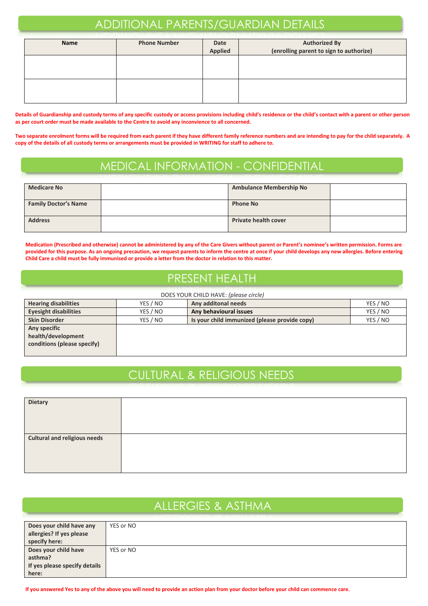# ADDITIONAL PARENTS/GUARDIAN DETAILS

| Name | <b>Phone Number</b> | <b>Date</b><br><b>Applied</b> | <b>Authorized By</b><br>(enrolling parent to sign to authorize) |
|------|---------------------|-------------------------------|-----------------------------------------------------------------|
|      |                     |                               |                                                                 |
|      |                     |                               |                                                                 |

**Details of Guardianship and custody terms of any specific custody or access provisions including child's residence or the child's contact with a parent or other person as per court order must be made available to the Centre to avoid any inconvience to all concerned.**

**Two separate enrolment forms will be required from each parent if they have different family reference numbers and are intending to pay for the child separately. A copy of the details of all custody terms or arrangements must be provided in WRITING for staff to adhere to.**

# MEDICAL INFORMATION - CONFIDENTIAL

| <b>Medicare No</b>          | <b>Ambulance Membership No</b> |  |
|-----------------------------|--------------------------------|--|
| <b>Family Doctor's Name</b> | <b>Phone No</b>                |  |
| <b>Address</b>              | <b>Private health cover</b>    |  |

**Medication (Prescribed and otherwise) cannot be administered by any of the Care Givers without parent or Parent's nominee's written permission. Forms are provided for this purpose. As an ongoing precaution, we request parents to inform the centre at once if your child develops any new allergies. Before entering Child Care a child must be fully immunised or provide a letter from the doctor in relation to this matter.**

## PRESENT HEALTH

| DOES YOUR CHILD HAVE: (please circle) |          |                                               |          |
|---------------------------------------|----------|-----------------------------------------------|----------|
| <b>Hearing disabilities</b>           | YES / NO | Any additonal needs                           | YES / NO |
| <b>Eyesight disabilities</b>          | YES / NO | Any behavioural issues                        | YES / NO |
| <b>Skin Disorder</b>                  | YES / NO | Is your child immunized (please provide copy) | YES / NO |
| Any specific                          |          |                                               |          |
| health/development                    |          |                                               |          |
| conditions (please specify)           |          |                                               |          |
|                                       |          |                                               |          |

# CULTURAL & RELIGIOUS NEEDS

| <b>Dietary</b>                      |  |
|-------------------------------------|--|
|                                     |  |
|                                     |  |
|                                     |  |
|                                     |  |
|                                     |  |
|                                     |  |
| <b>Cultural and religious needs</b> |  |
|                                     |  |
|                                     |  |
|                                     |  |
|                                     |  |
|                                     |  |
|                                     |  |

| <b>ALLERGIES &amp; ASTHMA</b> |           |  |  |  |
|-------------------------------|-----------|--|--|--|
|                               |           |  |  |  |
| Does your child have any      | YES or NO |  |  |  |
| allergies? If yes please      |           |  |  |  |
| specify here:                 |           |  |  |  |
| Does your child have          | YES or NO |  |  |  |
| asthma?                       |           |  |  |  |
| If yes please specify details |           |  |  |  |
| here:                         |           |  |  |  |

**If you answered Yes to any of the above you will need to provide an action plan from your doctor before your child can commence care.**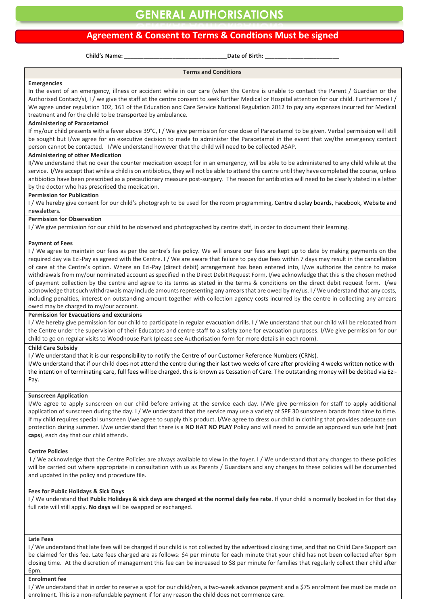### **Agreement & Consent to Terms & Condtions Must be signed**

**Child's Name: \_\_\_\_\_\_\_\_\_\_\_\_\_\_\_\_\_\_\_\_\_\_\_\_\_\_\_\_\_\_\_\_Date of Birth: \_\_\_\_\_\_\_\_\_\_\_\_\_\_\_\_\_\_\_\_\_\_\_** 

**Terms and Conditions**

#### **Emergencies**

In the event of an emergency, illness or accident while in our care (when the Centre is unable to contact the Parent / Guardian or the Authorised Contact/s), I / we give the staff at the centre consent to seek further Medical or Hospital attention for our child. Furthermore I / We agree under regulation 102, 161 of the Education and Care Service National Regulation 2012 to pay any expenses incurred for Medical treatment and for the child to be transported by ambulance.

#### **Administering of Paracetamol**

If my/our child presents with a fever above 39°C, I / We give permission for one dose of Paracetamol to be given. Verbal permission will still be sought but I/we agree for an executive decision to made to administer the Paracetamol in the event that we/the emergency contact person cannot be contacted. I/We understand however that the child will need to be collected ASAP.

#### **Administering of other Medication**

II/We understand that no over the counter medication except for in an emergency, will be able to be administered to any child while at the service. I/We accept that while a child is on antibiotics, they will not be able to attend the centre until they have completed the course, unless antibiotics have been prescribed as a precautionary measure post-surgery. The reason for antibiotics will need to be clearly stated in a letter by the doctor who has prescribed the medication.

#### **Permission for Publication**

I / We hereby give consent for our child's photograph to be used for the room programming, Centre display boards, Facebook, Website and newsletters.

#### **Permission for Observation**

I / We give permission for our child to be observed and photographed by centre staff, in order to document their learning.

#### **Payment of Fees**

I / We agree to maintain our fees as per the centre's fee policy. We will ensure our fees are kept up to date by making payments on the required day via Ezi-Pay as agreed with the Centre. I / We are aware that failure to pay due fees within 7 days may result in the cancellation of care at the Centre's option. Where an Ezi-Pay (direct debit) arrangement has been entered into, I/we authorize the centre to make withdrawals from my/our nominated account as specified in the Direct Debit Request Form, I/we acknowledge that this is the chosen method of payment collection by the centre and agree to its terms as stated in the terms & conditions on the direct debit request form. I/we acknowledge that such withdrawals may include amounts representing any arrears that are owed by me/us. I / We understand that any costs, including penalties, interest on outstanding amount together with collection agency costs incurred by the centre in collecting any arrears owed may be charged to my/our account.

**Permission for Evacuations and excursions**

I / We hereby give permission for our child to participate in regular evacuation drills. I / We understand that our child will be relocated from the Centre under the supervision of their Educators and centre staff to a safety zone for evacuation purposes. I/We give permission for our child to go on regular visits to Woodhouse Park (please see Authorisation form for more details in each room).

#### **Child Care Subsidy**

I / We understand that it is our responsibility to notify the Centre of our Customer Reference Numbers (CRNs).

I/We understand that if our child does not attend the centre during their last two weeks of care after providing 4 weeks written notice with the intention of terminating care, full fees will be charged, this is known as Cessation of Care. The outstanding money will be debited via Ezi-Pay.

#### **Sunscreen Application**

I/We agree to apply sunscreen on our child before arriving at the service each day. I/We give permission for staff to apply additional application of sunscreen during the day. I / We understand that the service may use a variety of SPF 30 sunscreen brands from time to time. If my child requires special sunscreen I/we agree to supply this product. I/We agree to dress our child in clothing that provides adequate sun protection during summer. I/we understand that there is a **NO HAT NO PLAY** Policy and will need to provide an approved sun safe hat (**not caps**), each day that our child attends.

#### **Centre Policies**

I / We acknowledge that the Centre Policies are always available to view in the foyer. I / We understand that any changes to these policies will be carried out where appropriate in consultation with us as Parents / Guardians and any changes to these policies will be documented and updated in the policy and procedure file.

#### **Fees for Public Holidays & Sick Days**

I / We understand that **Public Holidays & sick days are charged at the normal daily fee rate**. If your child is normally booked in for that day full rate will still apply. **No days** will be swapped or exchanged.

#### **Late Fees**

I / We understand that late fees will be charged if our child is not collected by the advertised closing time, and that no Child Care Support can be claimed for this fee. Late fees charged are as follows: \$4 per minute for each minute that your child has not been collected after 6pm closing time. At the discretion of management this fee can be increased to \$8 per minute for families that regularly collect their child after 6pm.

#### **Enrolment fee**

I / We understand that in order to reserve a spot for our child/ren, a two-week advance payment and a \$75 enrolment fee must be made on enrolment. This is a non-refundable payment if for any reason the child does not commence care.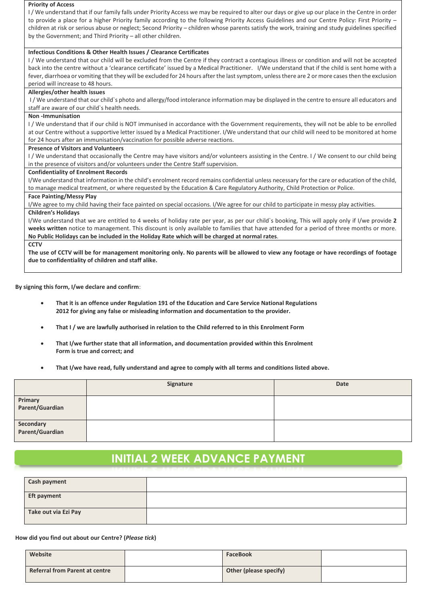#### **Priority of Access**

I / We understand that if our family falls under Priority Access we may be required to alter our days or give up our place in the Centre in order to provide a place for a higher Priority family according to the following Priority Access Guidelines and our Centre Policy: First Priority – children at risk or serious abuse or neglect; Second Priority – children whose parents satisfy the work, training and study guidelines specified by the Government; and Third Priority – all other children.

#### **Infectious Conditions & Other Health Issues / Clearance Certificates**

I / We understand that our child will be excluded from the Centre if they contract a contagious illness or condition and will not be accepted back into the centre without a 'clearance certificate' issued by a Medical Practitioner. I/We understand that if the child is sent home with a fever, diarrhoea or vomiting that they will be excluded for 24 hours after the last symptom, unless there are 2 or more cases then the exclusion period will increase to 48 hours.

#### **Allergies/other health issues**

I/We understand that our child`s photo and allergy/food intolerance information may be displayed in the centre to ensure all educators and staff are aware of our child`s health needs.

#### **Non -Immunisation**

I / We understand that if our child is NOT immunised in accordance with the Government requirements, they will not be able to be enrolled at our Centre without a supportive letter issued by a Medical Practitioner. I/We understand that our child will need to be monitored at home for 24 hours after an immunisation/vaccination for possible adverse reactions.

#### **Presence of Visitors and Volunteers**

I / We understand that occasionally the Centre may have visitors and/or volunteers assisting in the Centre. I / We consent to our child being in the presence of visitors and/or volunteers under the Centre Staff supervision.

#### **Confidentiality of Enrolment Records**

I/We understand that information in the child's enrolment record remains confidential unless necessary for the care or education of the child, to manage medical treatment, or where requested by the Education & Care Regulatory Authority, Child Protection or Police.

#### **Face Painting/Messy Play**

I/We agree to my child having their face painted on special occasions. I/We agree for our child to participate in messy play activities. **Children's Holidays**

I/We understand that we are entitled to 4 weeks of holiday rate per year, as per our child`s booking, This will apply only if I/we provide **2 weeks written** notice to management. This discount is only available to families that have attended for a period of three months or more. **No Public Holidays can be included in the Holiday Rate which will be charged at normal rates**.

#### **CCTV**

**The use of CCTV will be for management monitoring only. No parents will be allowed to view any footage or have recordings of footage due to confidentiality of children and staff alike.** 

**By signing this form, I/we declare and confirm**:

- **That it is an offence under Regulation 191 of the Education and Care Service National Regulations 2012 for giving any false or misleading information and documentation to the provider.**
- **That I / we are lawfully authorised in relation to the Child referred to in this Enrolment Form**
- **That I/we further state that all information, and documentation provided within this Enrolment Form is true and correct; and**
- **That I/we have read, fully understand and agree to comply with all terms and conditions listed above.**

|                              | Signature | <b>Date</b> |
|------------------------------|-----------|-------------|
| Primary<br>Parent/Guardian   |           |             |
| Secondary<br>Parent/Guardian |           |             |

# **INITIAL 2 WEEK ADVANCE PAYMENT**

| <b>Cash payment</b>  |  |
|----------------------|--|
| <b>Eft payment</b>   |  |
| Take out via Ezi Pay |  |

#### **How did you find out about our Centre? (***Please tick***)**

| Website                               | <b>FaceBook</b>        |  |
|---------------------------------------|------------------------|--|
| <b>Referral from Parent at centre</b> | Other (please specify) |  |